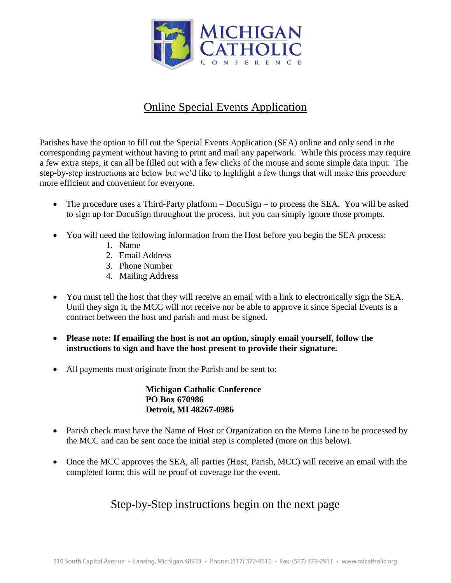

## Online Special Events Application

Parishes have the option to fill out the Special Events Application (SEA) online and only send in the corresponding payment without having to print and mail any paperwork. While this process may require a few extra steps, it can all be filled out with a few clicks of the mouse and some simple data input. The step-by-step instructions are below but we'd like to highlight a few things that will make this procedure more efficient and convenient for everyone.

- The procedure uses a Third-Party platform DocuSign to process the SEA. You will be asked to sign up for DocuSign throughout the process, but you can simply ignore those prompts.
- You will need the following information from the Host before you begin the SEA process:
	- 1. Name
	- 2. Email Address
	- 3. Phone Number
	- 4. Mailing Address
- You must tell the host that they will receive an email with a link to electronically sign the SEA. Until they sign it, the MCC will not receive nor be able to approve it since Special Events is a contract between the host and parish and must be signed.
- **Please note: If emailing the host is not an option, simply email yourself, follow the instructions to sign and have the host present to provide their signature.**
- All payments must originate from the Parish and be sent to:

**Michigan Catholic Conference PO Box 670986 Detroit, MI 48267-0986**

- Parish check must have the Name of Host or Organization on the Memo Line to be processed by the MCC and can be sent once the initial step is completed (more on this below).
- Once the MCC approves the SEA, all parties (Host, Parish, MCC) will receive an email with the completed form; this will be proof of coverage for the event.

## Step-by-Step instructions begin on the next page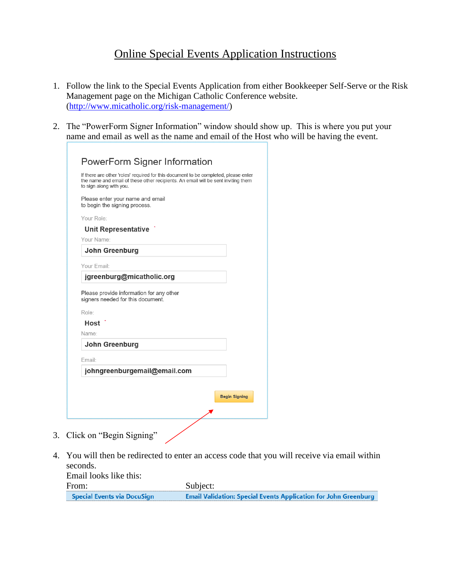## Online Special Events Application Instructions

- 1. Follow the link to the Special Events Application from either Bookkeeper Self-Serve or the Risk Management page on the Michigan Catholic Conference website. [\(http://www.micatholic.org/risk-management/\)](http://www.micatholic.org/risk-management/)
- 2. The "PowerForm Signer Information" window should show up. This is where you put your name and email as well as the name and email of the Host who will be having the event.

| If there are other 'roles' required for this document to be completed, please enter<br>the name and email of these other recipients. An email will be sent inviting them<br>to sign along with you. |  |
|-----------------------------------------------------------------------------------------------------------------------------------------------------------------------------------------------------|--|
| Please enter your name and email<br>to begin the signing process.                                                                                                                                   |  |
| Your Role:                                                                                                                                                                                          |  |
| <b>Unit Representative</b>                                                                                                                                                                          |  |
| Your Name:                                                                                                                                                                                          |  |
| John Greenburg                                                                                                                                                                                      |  |
| Your Email:                                                                                                                                                                                         |  |
| jgreenburg@micatholic.org                                                                                                                                                                           |  |
| signers needed for this document.<br>Role:                                                                                                                                                          |  |
|                                                                                                                                                                                                     |  |
| Host                                                                                                                                                                                                |  |
| Name:                                                                                                                                                                                               |  |
| John Greenburg                                                                                                                                                                                      |  |
| Email:                                                                                                                                                                                              |  |

4. You will then be redirected to enter an access code that you will receive via email within seconds.

Email looks like this: From: Subject: **Special Events via DocuSign Email Validation: Special Events Application for John Greenburg**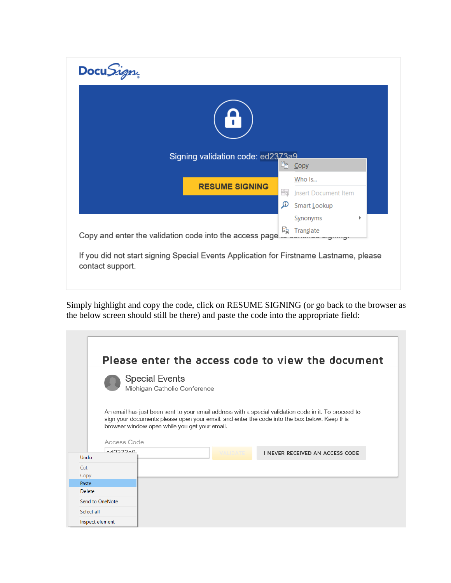| Docu <i>Sign</i> |                                   |    |                                |  |
|------------------|-----------------------------------|----|--------------------------------|--|
|                  |                                   |    |                                |  |
|                  | Signing validation code: ed2373a9 | 昀. | $C$ opy                        |  |
|                  | <b>RESUME SIGNING</b>             | 躡  | Who Is<br>Insert Document Item |  |
|                  |                                   | ھ  | Smart Lookup                   |  |
|                  |                                   |    | Synonyms                       |  |
|                  |                                   | 蟁  | Translate                      |  |

Simply highlight and copy the code, click on RESUME SIGNING (or go back to the browser as the below screen should still be there) and paste the code into the appropriate field:

|                   | Please enter the access code to view the document                                                                                                                                                                                                      |
|-------------------|--------------------------------------------------------------------------------------------------------------------------------------------------------------------------------------------------------------------------------------------------------|
|                   | <b>Special Events</b><br>Michigan Catholic Conference                                                                                                                                                                                                  |
| Access Code       | An email has just been sent to your email address with a special validation code in it. To proceed to<br>sign your documents please open your email, and enter the code into the box below. Keep this<br>browser window open while you get your email. |
| 0.4227200<br>Undo | <b>MALIDATE</b><br>I NEVER RECEIVED AN ACCESS CODE                                                                                                                                                                                                     |
| Cut               |                                                                                                                                                                                                                                                        |
| Copy              |                                                                                                                                                                                                                                                        |
| Paste             |                                                                                                                                                                                                                                                        |
| <b>Delete</b>     |                                                                                                                                                                                                                                                        |
| Send to OneNote   |                                                                                                                                                                                                                                                        |
| Select all        |                                                                                                                                                                                                                                                        |
| Inspect element   |                                                                                                                                                                                                                                                        |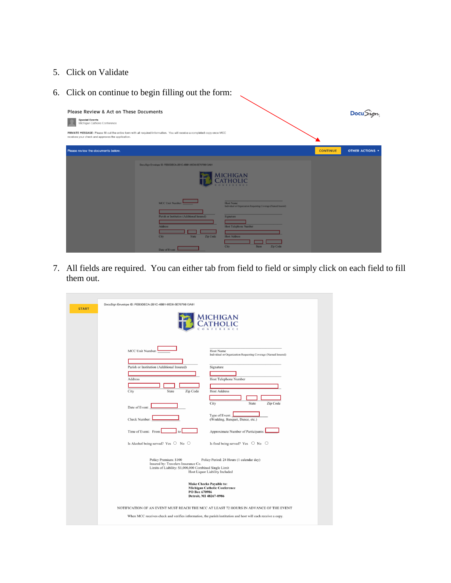- 5. Click on Validate
- 6. Click on continue to begin filling out the form:

| Please Review & Act on These Documents<br><b>Special Events</b><br>Michigan Catholic Conference<br>receives your check and approves the application. | PRIVATE MESSAGE: Please fill out the entire form with all required information. You will receive a completed copy once MCC          |                                                                                                                                              |                 | DocuSign               |
|------------------------------------------------------------------------------------------------------------------------------------------------------|-------------------------------------------------------------------------------------------------------------------------------------|----------------------------------------------------------------------------------------------------------------------------------------------|-----------------|------------------------|
| Please review the documents below.                                                                                                                   |                                                                                                                                     |                                                                                                                                              | <b>CONTINUE</b> | <b>OTHER ACTIONS *</b> |
|                                                                                                                                                      | DocuSign Envelope ID: FEB3DECA-2B1C-4BB1-95D8-5E7679B13A81<br><b>MCC Unit Number:</b><br>Parish or Institution (Additional Insured) | <b>MICHIGAN</b><br><b>CATHOLIC</b><br>CONFERENCE<br>Host Name<br>Individual or Organization Requesting Coverage (Named Insured)<br>Signature |                 |                        |
|                                                                                                                                                      | <b>Address</b><br>Zip Code<br><b>City</b><br><b>State</b><br>Date of Event:                                                         | <b>Host Telephone Number</b><br><b>Host Address</b><br><b>Zip Code</b><br><b>City</b><br><b>State</b>                                        |                 |                        |

 $\overline{\phantom{0}}$ 

7. All fields are required. You can either tab from field to field or simply click on each field to fill them out.

|              | DocuSign Envelope ID: FEB3DECA-2B1C-4BB1-95D8-5E7679B13A81                                                                                                                                           |
|--------------|------------------------------------------------------------------------------------------------------------------------------------------------------------------------------------------------------|
| <b>START</b> | <b>MICHIGAN</b>                                                                                                                                                                                      |
|              | MCC Unit Number<br><b>Host Name</b><br>Individual or Organization Requesting Coverage (Named Insured)                                                                                                |
|              | Parish or Institution (Additional Insured)<br>Signature                                                                                                                                              |
|              | Address<br>Host Telephone Number                                                                                                                                                                     |
|              | City<br>Zip Code<br><b>Host Address</b><br>State                                                                                                                                                     |
|              |                                                                                                                                                                                                      |
|              | City<br>State<br>Zip Code<br>Date of Event:                                                                                                                                                          |
|              | Type of Event:<br>Check Number:<br>(Wedding, Banquet, Dance, etc.)                                                                                                                                   |
|              | Time of Event: From<br>Approximate Number of Participants:<br>to                                                                                                                                     |
|              | Is Alcohol being served? Yes $\bigcirc$ No $\bigcirc$<br>Is food being served? Yes $\circ$ No $\circ$                                                                                                |
|              | Policy Premium: \$100<br>Policy Period: 24 Hours (1 calendar day)<br>Insured by: Travelers Insurance Co.<br>Limits of Liability: \$1,000,000 Combined Single Limit<br>Host Liquor Liability Included |
|              | <b>Make Checks Payable to:</b><br><b>Michigan Catholic Conference</b><br>PO Box 670986<br>Detroit, MI 48267-0986                                                                                     |
|              | NOTIFICATION OF AN EVENT MUST REACH THE MCC AT LEAST 72 HOURS IN ADVANCE OF THE EVENT                                                                                                                |
|              | When MCC receives check and verifies information, the parish/institution and host will each receive a copy.                                                                                          |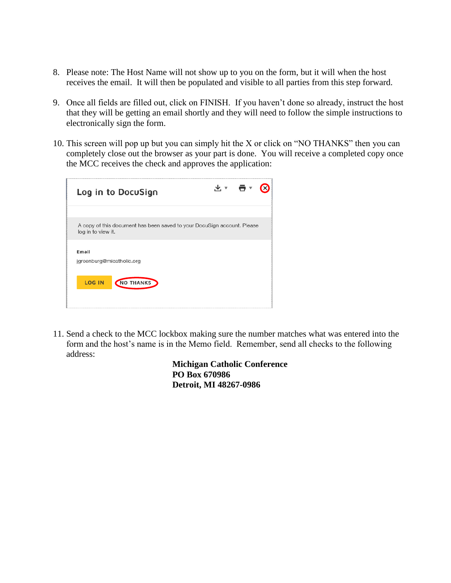- 8. Please note: The Host Name will not show up to you on the form, but it will when the host receives the email. It will then be populated and visible to all parties from this step forward.
- 9. Once all fields are filled out, click on FINISH. If you haven't done so already, instruct the host that they will be getting an email shortly and they will need to follow the simple instructions to electronically sign the form.
- 10. This screen will pop up but you can simply hit the X or click on "NO THANKS" then you can completely close out the browser as your part is done. You will receive a completed copy once the MCC receives the check and approves the application:

| Log in to DocuSign                                                                            | ॶॱॱॿॱ |  |
|-----------------------------------------------------------------------------------------------|-------|--|
| A copy of this document has been saved to your DocuSign account. Please<br>log in to view it. |       |  |
| Email<br>jgreenburg@micatholic.org                                                            |       |  |
| <b>LOG IN</b><br>NO THANKS                                                                    |       |  |
|                                                                                               |       |  |

11. Send a check to the MCC lockbox making sure the number matches what was entered into the form and the host's name is in the Memo field. Remember, send all checks to the following address:

> **Michigan Catholic Conference PO Box 670986 Detroit, MI 48267-0986**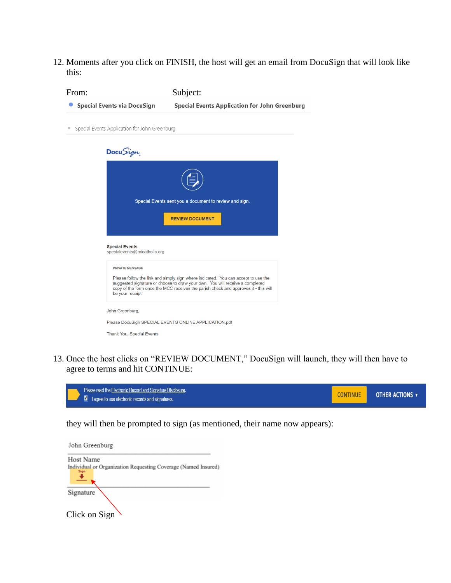12. Moments after you click on FINISH, the host will get an email from DocuSign that will look like this:

| From:                                                 | Subject:                                                                                                                                                                                                                                                 |
|-------------------------------------------------------|----------------------------------------------------------------------------------------------------------------------------------------------------------------------------------------------------------------------------------------------------------|
| Special Events via DocuSign                           | <b>Special Events Application for John Greenburg</b>                                                                                                                                                                                                     |
| Special Events Application for John Greenburg         |                                                                                                                                                                                                                                                          |
| Docu <i>Sign</i>                                      |                                                                                                                                                                                                                                                          |
|                                                       |                                                                                                                                                                                                                                                          |
|                                                       | Special Events sent you a document to review and sign.                                                                                                                                                                                                   |
|                                                       | <b>REVIEW DOCUMENT</b>                                                                                                                                                                                                                                   |
| <b>Special Events</b><br>specialevents@micatholic.org |                                                                                                                                                                                                                                                          |
| <b>PRIVATE MESSAGE</b>                                |                                                                                                                                                                                                                                                          |
| be your receipt.                                      | Please follow the link and simply sign where indicated. You can accept to use the<br>suggested signature or choose to draw your own. You will receive a completed<br>copy of the form once the MCC receives the parish check and approves it - this will |
| John Greenburg,                                       |                                                                                                                                                                                                                                                          |
|                                                       | Please DocuSign SPECIAL EVENTS ONLINE APPLICATION.pdf                                                                                                                                                                                                    |
| Thank You, Special Events                             |                                                                                                                                                                                                                                                          |

13. Once the host clicks on "REVIEW DOCUMENT," DocuSign will launch, they will then have to agree to terms and hit CONTINUE:



they will then be prompted to sign (as mentioned, their name now appears):

| John Greenburg                                                         |
|------------------------------------------------------------------------|
| <b>Host Name</b>                                                       |
| Individual or Organization Requesting Coverage (Named Insured)<br>Sign |
| Signature                                                              |
| Click on Sign                                                          |